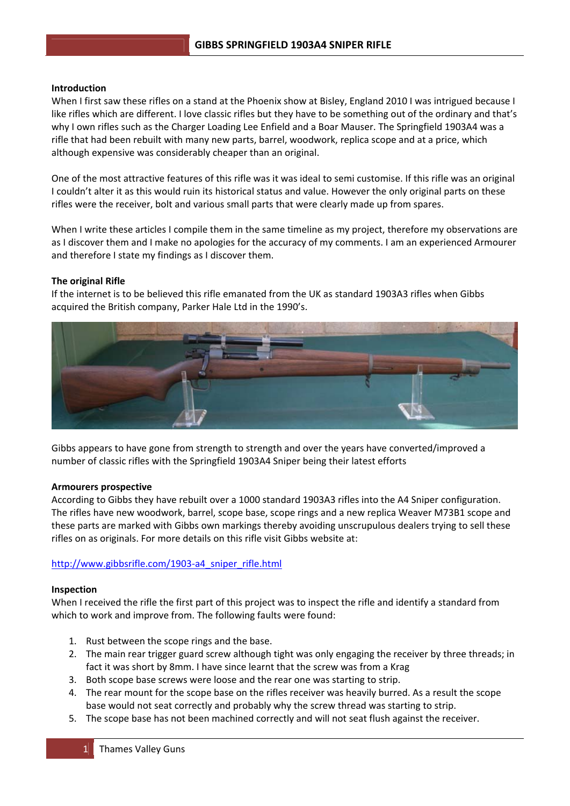### **Introduction**

When I first saw these rifles on a stand at the Phoenix show at Bisley, England 2010 I was intrigued because I like rifles which are different. I love classic rifles but they have to be something out of the ordinary and that's why I own rifles such as the Charger Loading Lee Enfield and a Boar Mauser. The Springfield 1903A4 was a rifle that had been rebuilt with many new parts, barrel, woodwork, replica scope and at a price, which although expensive was considerably cheaper than an original.

One of the most attractive features of this rifle was it was ideal to semi customise. If this rifle was an original I couldn't alter it as this would ruin its historical status and value. However the only original parts on these rifles were the receiver, bolt and various small parts that were clearly made up from spares.

When I write these articles I compile them in the same timeline as my project, therefore my observations are as I discover them and I make no apologies for the accuracy of my comments. I am an experienced Armourer and therefore I state my findings as I discover them.

## **The original Rifle**

If the internet is to be believed this rifle emanated from the UK as standard 1903A3 rifles when Gibbs acquired the British company, Parker Hale Ltd in the 1990's.



Gibbs appears to have gone from strength to strength and over the years have converted/improved a number of classic rifles with the Springfield 1903A4 Sniper being their latest efforts

#### **Armourers prospective**

According to Gibbs they have rebuilt over a 1000 standard 1903A3 rifles into the A4 Sniper configuration. The rifles have new woodwork, barrel, scope base, scope rings and a new replica Weaver M73B1 scope and these parts are marked with Gibbs own markings thereby avoiding unscrupulous dealers trying to sell these rifles on as originals. For more details on this rifle visit Gibbs website at:

## http://www.gibbsrifle.com/1903-a4\_sniper\_rifle.html

#### **Inspection**

When I received the rifle the first part of this project was to inspect the rifle and identify a standard from which to work and improve from. The following faults were found:

- 1. Rust between the scope rings and the base.
- 2. The main rear trigger guard screw although tight was only engaging the receiver by three threads; in fact it was short by 8mm. I have since learnt that the screw was from a Krag
- 3. Both scope base screws were loose and the rear one was starting to strip.
- 4. The rear mount for the scope base on the rifles receiver was heavily burred. As a result the scope base would not seat correctly and probably why the screw thread was starting to strip.
- 5. The scope base has not been machined correctly and will not seat flush against the receiver.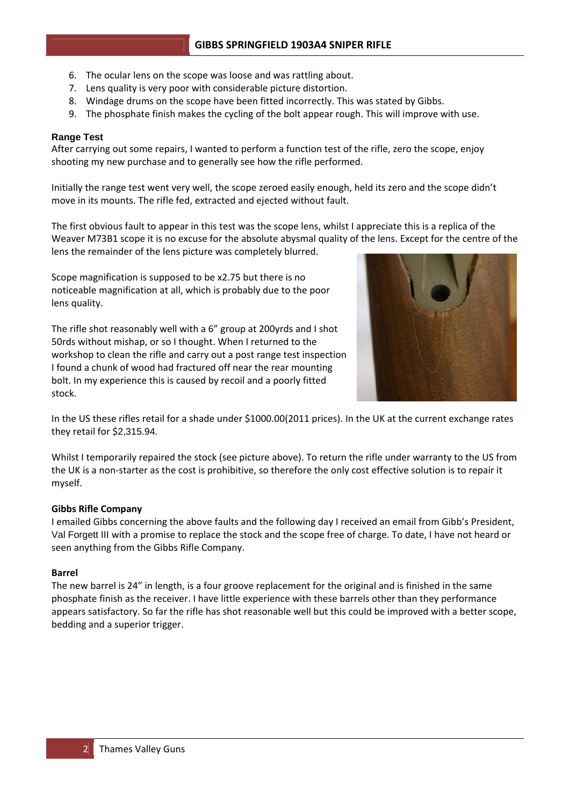- 6. The ocular lens on the scope was loose and was rattling about.
- 7. Lens quality is very poor with considerable picture distortion.
- 8. Windage drums on the scope have been fitted incorrectly. This was stated by Gibbs.
- 9. The phosphate finish makes the cycling of the bolt appear rough. This will improve with use.

## **Range Test**

After carrying out some repairs, I wanted to perform a function test of the rifle, zero the scope, enjoy shooting my new purchase and to generally see how the rifle performed.

Initially the range test went very well, the scope zeroed easily enough, held its zero and the scope didn't move in its mounts. The rifle fed, extracted and ejected without fault.

The first obvious fault to appear in this test was the scope lens, whilst I appreciate this is a replica of the Weaver M73B1 scope it is no excuse for the absolute abysmal quality of the lens. Except for the centre of the lens the remainder of the lens picture was completely blurred.

Scope magnification is supposed to be x2.75 but there is no noticeable magnification at all, which is probably due to the poor lens quality.

The rifle shot reasonably well with a 6" group at 200yrds and I shot 50rds without mishap, or so I thought. When I returned to the workshop to clean the rifle and carry out a post range test inspection I found a chunk of wood had fractured off near the rear mounting bolt. In my experience this is caused by recoil and a poorly fitted stock.



In the US these rifles retail for a shade under \$1000.00(2011 prices). In the UK at the current exchange rates they retail for \$2,315.94.

Whilst I temporarily repaired the stock (see picture above). To return the rifle under warranty to the US from the UK is a non‐starter as the cost is prohibitive, so therefore the only cost effective solution is to repair it myself.

## **Gibbs Rifle Company**

I emailed Gibbs concerning the above faults and the following day I received an email from Gibb's President, Val Forgett III with a promise to replace the stock and the scope free of charge. To date, I have not heard or seen anything from the Gibbs Rifle Company.

## **Barrel**

The new barrel is 24" in length, is a four groove replacement for the original and is finished in the same phosphate finish as the receiver. I have little experience with these barrels other than they performance appears satisfactory. So far the rifle has shot reasonable well but this could be improved with a better scope, bedding and a superior trigger.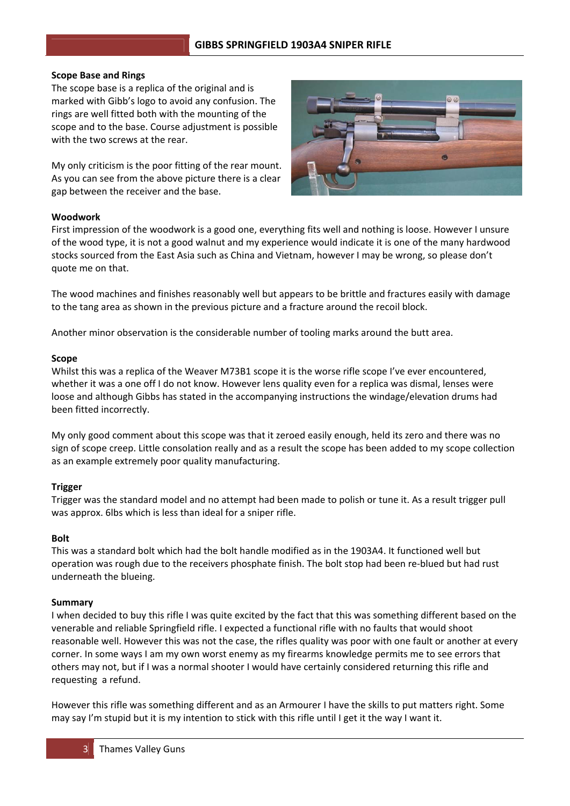# **GIBBS SPRINGFIELD 1903A4 SNIPER RIFLE**

### **Scope Base and Rings**

The scope base is a replica of the original and is marked with Gibb's logo to avoid any confusion. The rings are well fitted both with the mounting of the scope and to the base. Course adjustment is possible with the two screws at the rear.

My only criticism is the poor fitting of the rear mount. As you can see from the above picture there is a clear gap between the receiver and the base.



## **Woodwork**

First impression of the woodwork is a good one, everything fits well and nothing is loose. However I unsure of the wood type, it is not a good walnut and my experience would indicate it is one of the many hardwood stocks sourced from the East Asia such as China and Vietnam, however I may be wrong, so please don't quote me on that.

The wood machines and finishes reasonably well but appears to be brittle and fractures easily with damage to the tang area as shown in the previous picture and a fracture around the recoil block.

Another minor observation is the considerable number of tooling marks around the butt area.

### **Scope**

Whilst this was a replica of the Weaver M73B1 scope it is the worse rifle scope I've ever encountered, whether it was a one off I do not know. However lens quality even for a replica was dismal, lenses were loose and although Gibbs has stated in the accompanying instructions the windage/elevation drums had been fitted incorrectly.

My only good comment about this scope was that it zeroed easily enough, held its zero and there was no sign of scope creep. Little consolation really and as a result the scope has been added to my scope collection as an example extremely poor quality manufacturing.

## **Trigger**

Trigger was the standard model and no attempt had been made to polish or tune it. As a result trigger pull was approx. 6lbs which is less than ideal for a sniper rifle.

### **Bolt**

This was a standard bolt which had the bolt handle modified as in the 1903A4. It functioned well but operation was rough due to the receivers phosphate finish. The bolt stop had been re‐blued but had rust underneath the blueing.

#### **Summary**

I when decided to buy this rifle I was quite excited by the fact that this was something different based on the venerable and reliable Springfield rifle. I expected a functional rifle with no faults that would shoot reasonable well. However this was not the case, the rifles quality was poor with one fault or another at every corner. In some ways I am my own worst enemy as my firearms knowledge permits me to see errors that others may not, but if I was a normal shooter I would have certainly considered returning this rifle and requesting a refund.

However this rifle was something different and as an Armourer I have the skills to put matters right. Some may say I'm stupid but it is my intention to stick with this rifle until I get it the way I want it.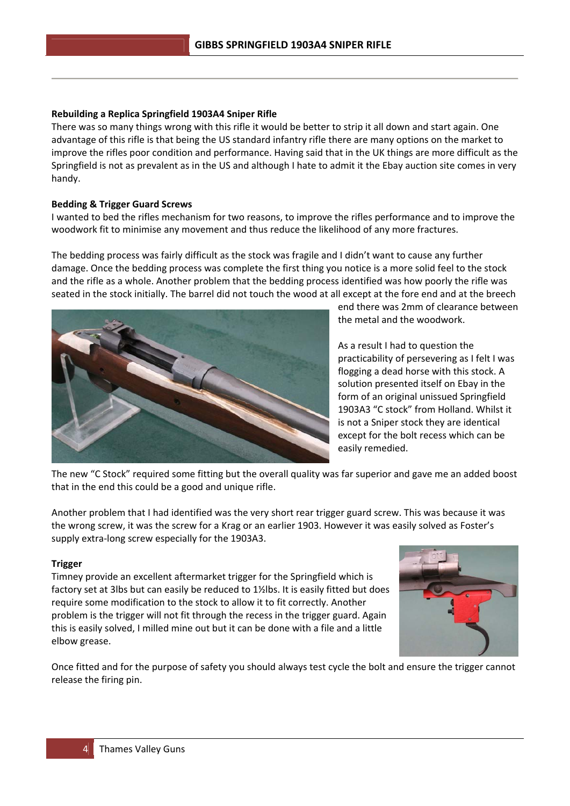# **Rebuilding a Replica Springfield 1903A4 Sniper Rifle**

There was so many things wrong with this rifle it would be better to strip it all down and start again. One advantage of this rifle is that being the US standard infantry rifle there are many options on the market to improve the rifles poor condition and performance. Having said that in the UK things are more difficult as the Springfield is not as prevalent as in the US and although I hate to admit it the Ebay auction site comes in very handy.

# **Bedding & Trigger Guard Screws**

I wanted to bed the rifles mechanism for two reasons, to improve the rifles performance and to improve the woodwork fit to minimise any movement and thus reduce the likelihood of any more fractures.

The bedding process was fairly difficult as the stock was fragile and I didn't want to cause any further damage. Once the bedding process was complete the first thing you notice is a more solid feel to the stock and the rifle as a whole. Another problem that the bedding process identified was how poorly the rifle was seated in the stock initially. The barrel did not touch the wood at all except at the fore end and at the breech



end there was 2mm of clearance between the metal and the woodwork.

As a result I had to question the practicability of persevering as I felt I was flogging a dead horse with this stock. A solution presented itself on Ebay in the form of an original unissued Springfield 1903A3 "C stock" from Holland. Whilst it is not a Sniper stock they are identical except for the bolt recess which can be easily remedied.

The new "C Stock" required some fitting but the overall quality was far superior and gave me an added boost that in the end this could be a good and unique rifle.

Another problem that I had identified was the very short rear trigger guard screw. This was because it was the wrong screw, it was the screw for a Krag or an earlier 1903. However it was easily solved as Foster's supply extra‐long screw especially for the 1903A3.

## **Trigger**

Timney provide an excellent aftermarket trigger for the Springfield which is factory set at 3lbs but can easily be reduced to 1½lbs. It is easily fitted but does require some modification to the stock to allow it to fit correctly. Another problem is the trigger will not fit through the recess in the trigger guard. Again this is easily solved, I milled mine out but it can be done with a file and a little elbow grease.



Once fitted and for the purpose of safety you should always test cycle the bolt and ensure the trigger cannot release the firing pin.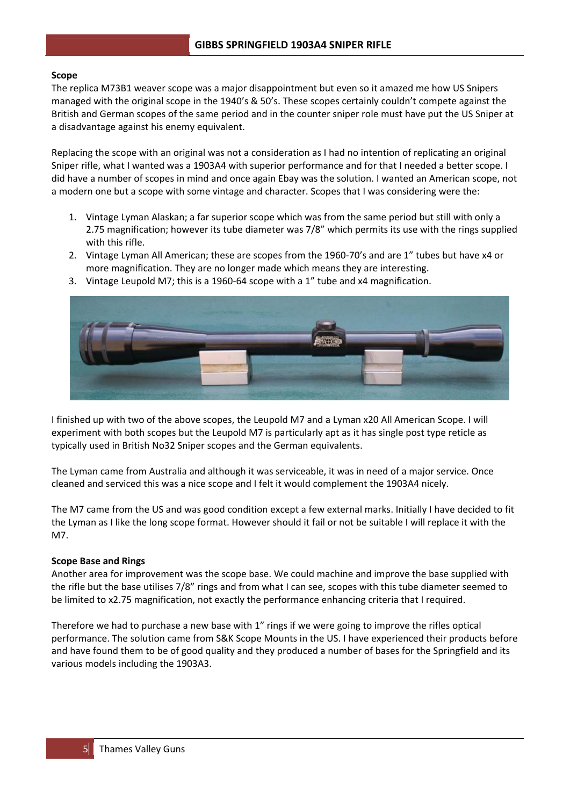## **Scope**

The replica M73B1 weaver scope was a major disappointment but even so it amazed me how US Snipers managed with the original scope in the 1940's & 50's. These scopes certainly couldn't compete against the British and German scopes of the same period and in the counter sniper role must have put the US Sniper at a disadvantage against his enemy equivalent.

Replacing the scope with an original was not a consideration as I had no intention of replicating an original Sniper rifle, what I wanted was a 1903A4 with superior performance and for that I needed a better scope. I did have a number of scopes in mind and once again Ebay was the solution. I wanted an American scope, not a modern one but a scope with some vintage and character. Scopes that I was considering were the:

- 1. Vintage Lyman Alaskan; a far superior scope which was from the same period but still with only a 2.75 magnification; however its tube diameter was 7/8" which permits its use with the rings supplied with this rifle.
- 2. Vintage Lyman All American; these are scopes from the 1960-70's and are 1" tubes but have x4 or more magnification. They are no longer made which means they are interesting.
- 3. Vintage Leupold M7; this is a 1960‐64 scope with a 1" tube and x4 magnification.



I finished up with two of the above scopes, the Leupold M7 and a Lyman x20 All American Scope. I will experiment with both scopes but the Leupold M7 is particularly apt as it has single post type reticle as typically used in British No32 Sniper scopes and the German equivalents.

The Lyman came from Australia and although it was serviceable, it was in need of a major service. Once cleaned and serviced this was a nice scope and I felt it would complement the 1903A4 nicely.

The M7 came from the US and was good condition except a few external marks. Initially I have decided to fit the Lyman as I like the long scope format. However should it fail or not be suitable I will replace it with the M7.

## **Scope Base and Rings**

Another area for improvement was the scope base. We could machine and improve the base supplied with the rifle but the base utilises 7/8" rings and from what I can see, scopes with this tube diameter seemed to be limited to x2.75 magnification, not exactly the performance enhancing criteria that I required.

Therefore we had to purchase a new base with 1" rings if we were going to improve the rifles optical performance. The solution came from S&K Scope Mounts in the US. I have experienced their products before and have found them to be of good quality and they produced a number of bases for the Springfield and its various models including the 1903A3.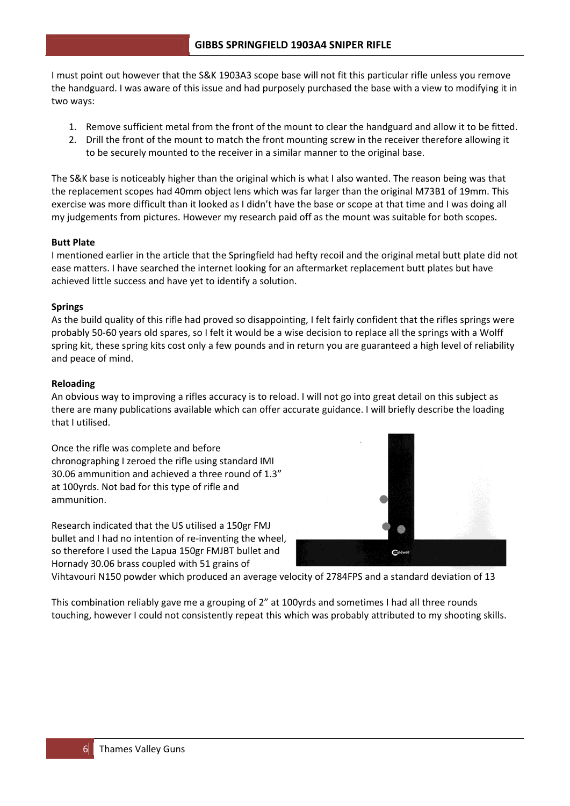I must point out however that the S&K 1903A3 scope base will not fit this particular rifle unless you remove the handguard. I was aware of this issue and had purposely purchased the base with a view to modifying it in two ways:

- 1. Remove sufficient metal from the front of the mount to clear the handguard and allow it to be fitted.
- 2. Drill the front of the mount to match the front mounting screw in the receiver therefore allowing it to be securely mounted to the receiver in a similar manner to the original base.

The S&K base is noticeably higher than the original which is what I also wanted. The reason being was that the replacement scopes had 40mm object lens which was far larger than the original M73B1 of 19mm. This exercise was more difficult than it looked as I didn't have the base or scope at that time and I was doing all my judgements from pictures. However my research paid off as the mount was suitable for both scopes.

# **Butt Plate**

I mentioned earlier in the article that the Springfield had hefty recoil and the original metal butt plate did not ease matters. I have searched the internet looking for an aftermarket replacement butt plates but have achieved little success and have yet to identify a solution.

# **Springs**

As the build quality of this rifle had proved so disappointing, I felt fairly confident that the rifles springs were probably 50‐60 years old spares, so I felt it would be a wise decision to replace all the springs with a Wolff spring kit, these spring kits cost only a few pounds and in return you are guaranteed a high level of reliability and peace of mind.

# **Reloading**

An obvious way to improving a rifles accuracy is to reload. I will not go into great detail on this subject as there are many publications available which can offer accurate guidance. I will briefly describe the loading that I utilised.

Once the rifle was complete and before chronographing I zeroed the rifle using standard IMI 30.06 ammunition and achieved a three round of 1.3" at 100yrds. Not bad for this type of rifle and ammunition.

Research indicated that the US utilised a 150gr FMJ bullet and I had no intention of re‐inventing the wheel, so therefore I used the Lapua 150gr FMJBT bullet and Hornady 30.06 brass coupled with 51 grains of



Vihtavouri N150 powder which produced an average velocity of 2784FPS and a standard deviation of 13

This combination reliably gave me a grouping of 2" at 100yrds and sometimes I had all three rounds touching, however I could not consistently repeat this which was probably attributed to my shooting skills.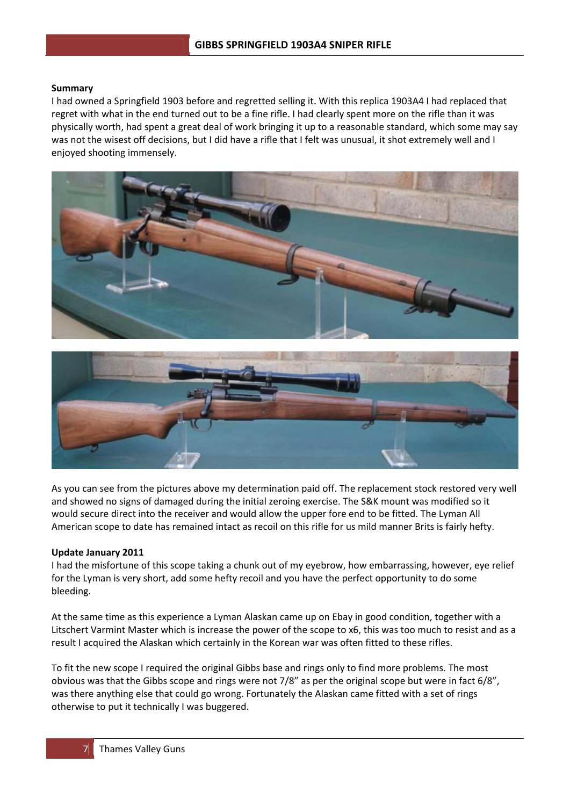## **Summary**

I had owned a Springfield 1903 before and regretted selling it. With this replica 1903A4 I had replaced that regret with what in the end turned out to be a fine rifle. I had clearly spent more on the rifle than it was physically worth, had spent a great deal of work bringing it up to a reasonable standard, which some may say was not the wisest off decisions, but I did have a rifle that I felt was unusual, it shot extremely well and I enjoyed shooting immensely.





As you can see from the pictures above my determination paid off. The replacement stock restored very well and showed no signs of damaged during the initial zeroing exercise. The S&K mount was modified so it would secure direct into the receiver and would allow the upper fore end to be fitted. The Lyman All American scope to date has remained intact as recoil on this rifle for us mild manner Brits is fairly hefty.

## **Update January 2011**

I had the misfortune of this scope taking a chunk out of my eyebrow, how embarrassing, however, eye relief for the Lyman is very short, add some hefty recoil and you have the perfect opportunity to do some bleeding.

At the same time as this experience a Lyman Alaskan came up on Ebay in good condition, together with a Litschert Varmint Master which is increase the power of the scope to x6, this was too much to resist and as a result I acquired the Alaskan which certainly in the Korean war was often fitted to these rifles.

To fit the new scope I required the original Gibbs base and rings only to find more problems. The most obvious was that the Gibbs scope and rings were not 7/8" as per the original scope but were in fact 6/8", was there anything else that could go wrong. Fortunately the Alaskan came fitted with a set of rings otherwise to put it technically I was buggered.